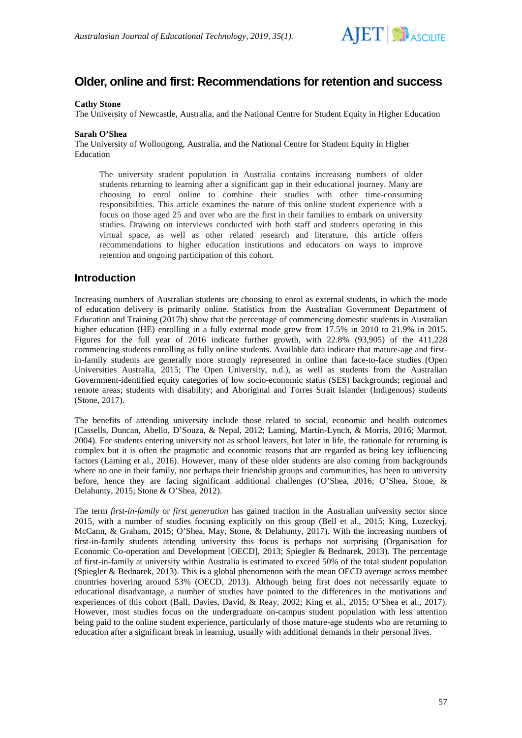

# **Older, online and first: Recommendations for retention and success**

#### **Cathy Stone**

The University of Newcastle, Australia, and the National Centre for Student Equity in Higher Education

#### **Sarah O'Shea**

The University of Wollongong, Australia, and the National Centre for Student Equity in Higher Education

The university student population in Australia contains increasing numbers of older students returning to learning after a significant gap in their educational journey. Many are choosing to enrol online to combine their studies with other time-consuming responsibilities. This article examines the nature of this online student experience with a focus on those aged 25 and over who are the first in their families to embark on university studies. Drawing on interviews conducted with both staff and students operating in this virtual space, as well as other related research and literature, this article offers recommendations to higher education institutions and educators on ways to improve retention and ongoing participation of this cohort.

### **Introduction**

Increasing numbers of Australian students are choosing to enrol as external students, in which the mode of education delivery is primarily online. Statistics from the Australian Government Department of Education and Training (2017b) show that the percentage of commencing domestic students in Australian higher education (HE) enrolling in a fully external mode grew from 17.5% in 2010 to 21.9% in 2015. Figures for the full year of 2016 indicate further growth, with 22.8% (93,905) of the 411,228 commencing students enrolling as fully online students. Available data indicate that mature-age and firstin-family students are generally more strongly represented in online than face-to-face studies (Open Universities Australia, 2015; The Open University, n.d.), as well as students from the Australian Government-identified equity categories of low socio-economic status (SES) backgrounds; regional and remote areas; students with disability; and Aboriginal and Torres Strait Islander (Indigenous) students (Stone, 2017).

The benefits of attending university include those related to social, economic and health outcomes (Cassells, Duncan, Abello, D'Souza, & Nepal, 2012; Laming, Martin-Lynch, & Morris, 2016; Marmot, 2004). For students entering university not as school leavers, but later in life, the rationale for returning is complex but it is often the pragmatic and economic reasons that are regarded as being key influencing factors (Laming et al., 2016). However, many of these older students are also coming from backgrounds where no one in their family, nor perhaps their friendship groups and communities, has been to university before, hence they are facing significant additional challenges (O'Shea, 2016; O'Shea, Stone, & Delahunty, 2015; Stone & O'Shea, 2012).

The term *first-in-family* or *first generation* has gained traction in the Australian university sector since 2015, with a number of studies focusing explicitly on this group (Bell et al., 2015; King, Luzeckyj, McCann, & Graham, 2015; O'Shea, May, Stone, & Delahunty, 2017). With the increasing numbers of first-in-family students attending university this focus is perhaps not surprising (Organisation for Economic Co-operation and Development [OECD], 2013; Spiegler & Bednarek, 2013). The percentage of first-in-family at university within Australia is estimated to exceed 50% of the total student population (Spiegler & Bednarek, 2013). This is a global phenomenon with the mean OECD average across member countries hovering around 53% (OECD, 2013). Although being first does not necessarily equate to educational disadvantage, a number of studies have pointed to the differences in the motivations and experiences of this cohort (Ball, Davies, David, & Reay, 2002; King et al., 2015; O'Shea et al., 2017). However, most studies focus on the undergraduate on-campus student population with less attention being paid to the online student experience, particularly of those mature-age students who are returning to education after a significant break in learning, usually with additional demands in their personal lives.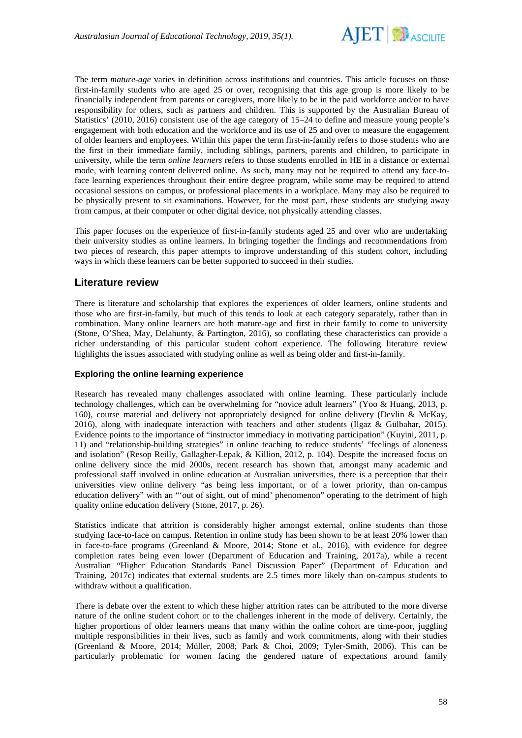

The term *mature-age* varies in definition across institutions and countries. This article focuses on those first-in-family students who are aged 25 or over, recognising that this age group is more likely to be financially independent from parents or caregivers, more likely to be in the paid workforce and/or to have responsibility for others, such as partners and children. This is supported by the Australian Bureau of Statistics' (2010, 2016) consistent use of the age category of 15–24 to define and measure young people's engagement with both education and the workforce and its use of 25 and over to measure the engagement of older learners and employees. Within this paper the term first-in-family refers to those students who are the first in their immediate family, including siblings, partners, parents and children, to participate in university, while the term *online learners* refers to those students enrolled in HE in a distance or external mode, with learning content delivered online. As such, many may not be required to attend any face-toface learning experiences throughout their entire degree program, while some may be required to attend occasional sessions on campus, or professional placements in a workplace. Many may also be required to be physically present to sit examinations. However, for the most part, these students are studying away from campus, at their computer or other digital device, not physically attending classes.

This paper focuses on the experience of first-in-family students aged 25 and over who are undertaking their university studies as online learners. In bringing together the findings and recommendations from two pieces of research, this paper attempts to improve understanding of this student cohort, including ways in which these learners can be better supported to succeed in their studies.

## **Literature review**

There is literature and scholarship that explores the experiences of older learners, online students and those who are first-in-family, but much of this tends to look at each category separately, rather than in combination. Many online learners are both mature-age and first in their family to come to university (Stone, O'Shea, May, Delahunty, & Partington, 2016), so conflating these characteristics can provide a richer understanding of this particular student cohort experience. The following literature review highlights the issues associated with studying online as well as being older and first-in-family.

#### **Exploring the online learning experience**

Research has revealed many challenges associated with online learning. These particularly include technology challenges, which can be overwhelming for "novice adult learners" (Yoo & Huang, 2013, p. 160), course material and delivery not appropriately designed for online delivery (Devlin & McKay, 2016), along with inadequate interaction with teachers and other students (Ilgaz & Gülbahar, 2015). Evidence points to the importance of "instructor immediacy in motivating participation" (Kuyini, 2011, p. 11) and "relationship-building strategies" in online teaching to reduce students' "feelings of aloneness and isolation" (Resop Reilly, Gallagher-Lepak, & Killion, 2012, p. 104). Despite the increased focus on online delivery since the mid 2000s, recent research has shown that, amongst many academic and professional staff involved in online education at Australian universities, there is a perception that their universities view online delivery "as being less important, or of a lower priority, than on-campus education delivery" with an "'out of sight, out of mind' phenomenon" operating to the detriment of high quality online education delivery (Stone, 2017, p. 26).

Statistics indicate that attrition is considerably higher amongst external, online students than those studying face-to-face on campus. Retention in online study has been shown to be at least 20% lower than in face-to-face programs (Greenland & Moore, 2014; Stone et al., 2016), with evidence for degree completion rates being even lower (Department of Education and Training, 2017a), while a recent Australian "Higher Education Standards Panel Discussion Paper" (Department of Education and Training, 2017c) indicates that external students are 2.5 times more likely than on-campus students to withdraw without a qualification.

There is debate over the extent to which these higher attrition rates can be attributed to the more diverse nature of the online student cohort or to the challenges inherent in the mode of delivery. Certainly, the higher proportions of older learners means that many within the online cohort are time-poor, juggling multiple responsibilities in their lives, such as family and work commitments, along with their studies (Greenland & Moore, 2014; Müller, 2008; Park & Choi, 2009; Tyler-Smith, 2006). This can be particularly problematic for women facing the gendered nature of expectations around family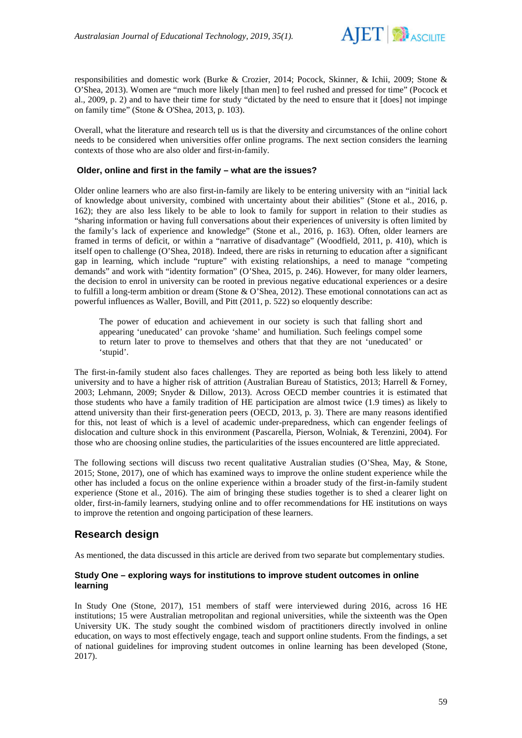

responsibilities and domestic work (Burke & Crozier, 2014; Pocock, Skinner, & Ichii, 2009; Stone & O'Shea, 2013). Women are "much more likely [than men] to feel rushed and pressed for time" (Pocock et al., 2009, p. 2) and to have their time for study "dictated by the need to ensure that it [does] not impinge on family time" (Stone & O'Shea, 2013, p. 103).

Overall, what the literature and research tell us is that the diversity and circumstances of the online cohort needs to be considered when universities offer online programs. The next section considers the learning contexts of those who are also older and first-in-family.

#### **Older, online and first in the family – what are the issues?**

Older online learners who are also first-in-family are likely to be entering university with an "initial lack of knowledge about university, combined with uncertainty about their abilities" (Stone et al., 2016, p. 162); they are also less likely to be able to look to family for support in relation to their studies as "sharing information or having full conversations about their experiences of university is often limited by the family's lack of experience and knowledge" (Stone et al., 2016, p. 163). Often, older learners are framed in terms of deficit, or within a "narrative of disadvantage" (Woodfield, 2011, p. 410), which is itself open to challenge (O'Shea, 2018). Indeed, there are risks in returning to education after a significant gap in learning, which include "rupture" with existing relationships, a need to manage "competing demands" and work with "identity formation" (O'Shea, 2015, p. 246). However, for many older learners, the decision to enrol in university can be rooted in previous negative educational experiences or a desire to fulfill a long-term ambition or dream (Stone & O'Shea, 2012). These emotional connotations can act as powerful influences as Waller, Bovill, and Pitt (2011, p. 522) so eloquently describe:

The power of education and achievement in our society is such that falling short and appearing 'uneducated' can provoke 'shame' and humiliation. Such feelings compel some to return later to prove to themselves and others that that they are not 'uneducated' or 'stupid'.

The first-in-family student also faces challenges. They are reported as being both less likely to attend university and to have a higher risk of attrition (Australian Bureau of Statistics, 2013; Harrell & Forney, 2003; Lehmann, 2009; Snyder & Dillow, 2013). Across OECD member countries it is estimated that those students who have a family tradition of HE participation are almost twice (1.9 times) as likely to attend university than their first-generation peers (OECD, 2013, p. 3). There are many reasons identified for this, not least of which is a level of academic under-preparedness, which can engender feelings of dislocation and culture shock in this environment (Pascarella, Pierson, Wolniak, & Terenzini, 2004). For those who are choosing online studies, the particularities of the issues encountered are little appreciated.

The following sections will discuss two recent qualitative Australian studies (O'Shea, May, & Stone, 2015; Stone, 2017), one of which has examined ways to improve the online student experience while the other has included a focus on the online experience within a broader study of the first-in-family student experience (Stone et al., 2016). The aim of bringing these studies together is to shed a clearer light on older, first-in-family learners, studying online and to offer recommendations for HE institutions on ways to improve the retention and ongoing participation of these learners.

## **Research design**

As mentioned, the data discussed in this article are derived from two separate but complementary studies.

#### **Study One – exploring ways for institutions to improve student outcomes in online learning**

In Study One (Stone, 2017), 151 members of staff were interviewed during 2016, across 16 HE institutions; 15 were Australian metropolitan and regional universities, while the sixteenth was the Open University UK. The study sought the combined wisdom of practitioners directly involved in online education, on ways to most effectively engage, teach and support online students. From the findings, a set of national guidelines for improving student outcomes in online learning has been developed (Stone, 2017).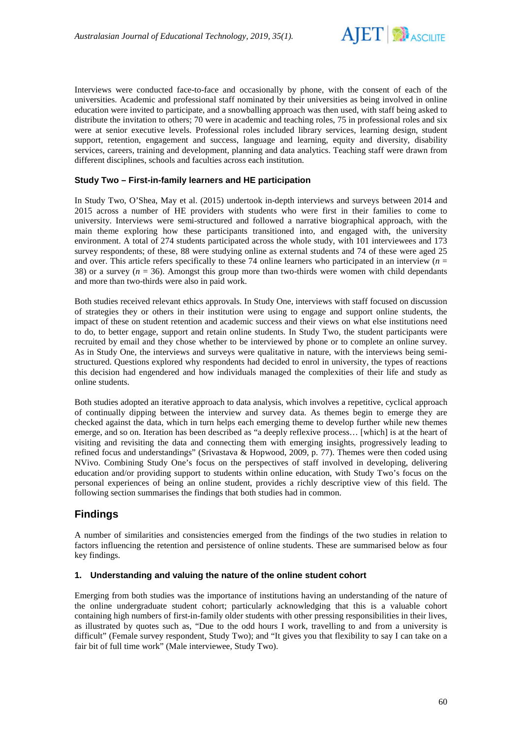

Interviews were conducted face-to-face and occasionally by phone, with the consent of each of the universities. Academic and professional staff nominated by their universities as being involved in online education were invited to participate, and a snowballing approach was then used, with staff being asked to distribute the invitation to others; 70 were in academic and teaching roles, 75 in professional roles and six were at senior executive levels. Professional roles included library services, learning design, student support, retention, engagement and success, language and learning, equity and diversity, disability services, careers, training and development, planning and data analytics. Teaching staff were drawn from different disciplines, schools and faculties across each institution.

#### **Study Two – First-in-family learners and HE participation**

In Study Two, O'Shea, May et al. (2015) undertook in-depth interviews and surveys between 2014 and 2015 across a number of HE providers with students who were first in their families to come to university. Interviews were semi-structured and followed a narrative biographical approach, with the main theme exploring how these participants transitioned into, and engaged with, the university environment. A total of 274 students participated across the whole study, with 101 interviewees and 173 survey respondents; of these, 88 were studying online as external students and 74 of these were aged 25 and over. This article refers specifically to these 74 online learners who participated in an interview  $(n = 1, 2)$ 38) or a survey ( $n = 36$ ). Amongst this group more than two-thirds were women with child dependants and more than two-thirds were also in paid work.

Both studies received relevant ethics approvals. In Study One, interviews with staff focused on discussion of strategies they or others in their institution were using to engage and support online students, the impact of these on student retention and academic success and their views on what else institutions need to do, to better engage, support and retain online students. In Study Two, the student participants were recruited by email and they chose whether to be interviewed by phone or to complete an online survey. As in Study One, the interviews and surveys were qualitative in nature, with the interviews being semistructured. Questions explored why respondents had decided to enrol in university, the types of reactions this decision had engendered and how individuals managed the complexities of their life and study as online students.

Both studies adopted an iterative approach to data analysis, which involves a repetitive, cyclical approach of continually dipping between the interview and survey data. As themes begin to emerge they are checked against the data, which in turn helps each emerging theme to develop further while new themes emerge, and so on. Iteration has been described as "a deeply reflexive process… [which] is at the heart of visiting and revisiting the data and connecting them with emerging insights, progressively leading to refined focus and understandings" (Srivastava & Hopwood, 2009, p. 77). Themes were then coded using NVivo. Combining Study One's focus on the perspectives of staff involved in developing, delivering education and/or providing support to students within online education, with Study Two's focus on the personal experiences of being an online student, provides a richly descriptive view of this field. The following section summarises the findings that both studies had in common.

# **Findings**

A number of similarities and consistencies emerged from the findings of the two studies in relation to factors influencing the retention and persistence of online students. These are summarised below as four key findings.

#### **1. Understanding and valuing the nature of the online student cohort**

Emerging from both studies was the importance of institutions having an understanding of the nature of the online undergraduate student cohort; particularly acknowledging that this is a valuable cohort containing high numbers of first-in-family older students with other pressing responsibilities in their lives, as illustrated by quotes such as, "Due to the odd hours I work, travelling to and from a university is difficult" (Female survey respondent, Study Two); and "It gives you that flexibility to say I can take on a fair bit of full time work" (Male interviewee, Study Two).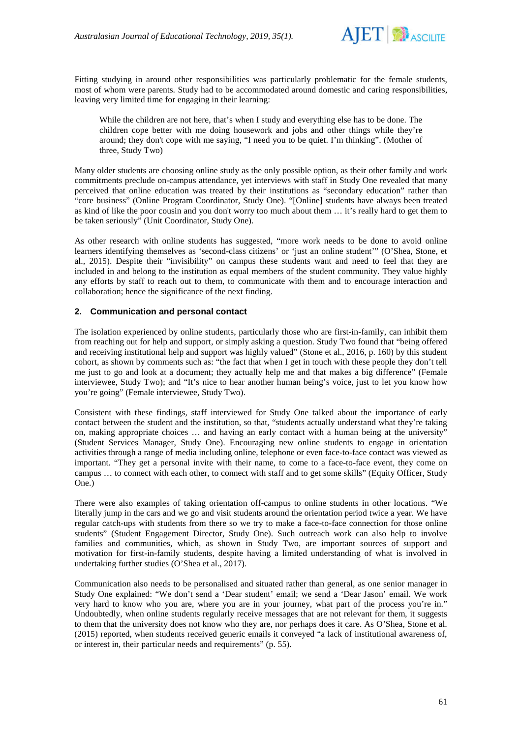

Fitting studying in around other responsibilities was particularly problematic for the female students, most of whom were parents. Study had to be accommodated around domestic and caring responsibilities, leaving very limited time for engaging in their learning:

While the children are not here, that's when I study and everything else has to be done. The children cope better with me doing housework and jobs and other things while they're around; they don't cope with me saying, "I need you to be quiet. I'm thinking". (Mother of three, Study Two)

Many older students are choosing online study as the only possible option, as their other family and work commitments preclude on-campus attendance, yet interviews with staff in Study One revealed that many perceived that online education was treated by their institutions as "secondary education" rather than "core business" (Online Program Coordinator, Study One). "[Online] students have always been treated as kind of like the poor cousin and you don't worry too much about them … it's really hard to get them to be taken seriously" (Unit Coordinator, Study One).

As other research with online students has suggested, "more work needs to be done to avoid online learners identifying themselves as 'second-class citizens' or 'just an online student'" (O'Shea, Stone, et al., 2015). Despite their "invisibility" on campus these students want and need to feel that they are included in and belong to the institution as equal members of the student community. They value highly any efforts by staff to reach out to them, to communicate with them and to encourage interaction and collaboration; hence the significance of the next finding.

#### **2. Communication and personal contact**

The isolation experienced by online students, particularly those who are first-in-family, can inhibit them from reaching out for help and support, or simply asking a question. Study Two found that "being offered and receiving institutional help and support was highly valued" (Stone et al., 2016, p. 160) by this student cohort, as shown by comments such as: "the fact that when I get in touch with these people they don't tell me just to go and look at a document; they actually help me and that makes a big difference" (Female interviewee, Study Two); and "It's nice to hear another human being's voice, just to let you know how you're going" (Female interviewee, Study Two).

Consistent with these findings, staff interviewed for Study One talked about the importance of early contact between the student and the institution, so that, "students actually understand what they're taking on, making appropriate choices … and having an early contact with a human being at the university" (Student Services Manager, Study One). Encouraging new online students to engage in orientation activities through a range of media including online, telephone or even face-to-face contact was viewed as important. "They get a personal invite with their name, to come to a face-to-face event, they come on campus … to connect with each other, to connect with staff and to get some skills" (Equity Officer, Study One.)

There were also examples of taking orientation off-campus to online students in other locations. "We literally jump in the cars and we go and visit students around the orientation period twice a year. We have regular catch-ups with students from there so we try to make a face-to-face connection for those online students" (Student Engagement Director, Study One). Such outreach work can also help to involve families and communities, which, as shown in Study Two, are important sources of support and motivation for first-in-family students, despite having a limited understanding of what is involved in undertaking further studies (O'Shea et al., 2017).

Communication also needs to be personalised and situated rather than general, as one senior manager in Study One explained: "We don't send a 'Dear student' email; we send a 'Dear Jason' email. We work very hard to know who you are, where you are in your journey, what part of the process you're in." Undoubtedly, when online students regularly receive messages that are not relevant for them, it suggests to them that the university does not know who they are, nor perhaps does it care. As O'Shea, Stone et al. (2015) reported, when students received generic emails it conveyed "a lack of institutional awareness of, or interest in, their particular needs and requirements" (p. 55).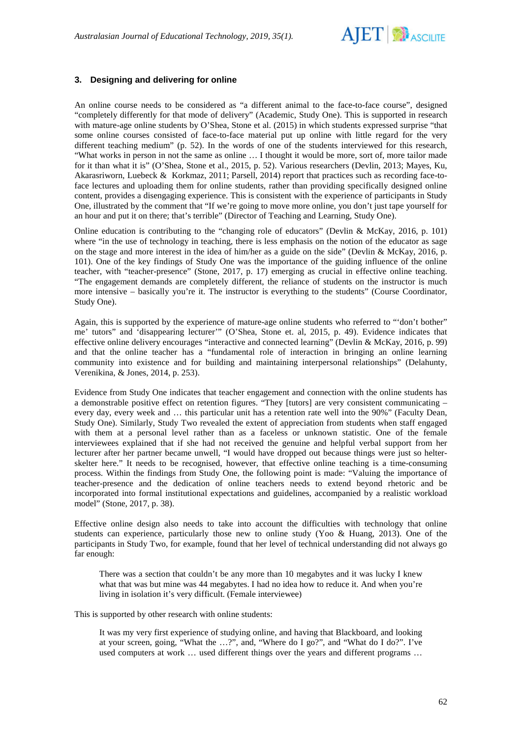

### **3. Designing and delivering for online**

An online course needs to be considered as "a different animal to the face-to-face course", designed "completely differently for that mode of delivery" (Academic, Study One). This is supported in research with mature-age online students by O'Shea, Stone et al. (2015) in which students expressed surprise "that some online courses consisted of face-to-face material put up online with little regard for the very different teaching medium" (p. 52). In the words of one of the students interviewed for this research, "What works in person in not the same as online … I thought it would be more, sort of, more tailor made for it than what it is" (O'Shea, Stone et al., 2015, p. 52). Various researchers (Devlin, 2013; Mayes, Ku, Akarasriworn, Luebeck & Korkmaz, 2011; Parsell, 2014) report that practices such as recording face-toface lectures and uploading them for online students, rather than providing specifically designed online content, provides a disengaging experience. This is consistent with the experience of participants in Study One, illustrated by the comment that "If we're going to move more online, you don't just tape yourself for an hour and put it on there; that's terrible" (Director of Teaching and Learning, Study One).

Online education is contributing to the "changing role of educators" (Devlin & McKay, 2016, p. 101) where "in the use of technology in teaching, there is less emphasis on the notion of the educator as sage on the stage and more interest in the idea of him/her as a guide on the side" (Devlin & McKay, 2016, p. 101). One of the key findings of Study One was the importance of the guiding influence of the online teacher, with "teacher-presence" (Stone, 2017, p. 17) emerging as crucial in effective online teaching. "The engagement demands are completely different, the reliance of students on the instructor is much more intensive – basically you're it. The instructor is everything to the students" (Course Coordinator, Study One).

Again, this is supported by the experience of mature-age online students who referred to "'don't bother" me' tutors" and 'disappearing lecturer'" (O'Shea, Stone et. al, 2015, p. 49). Evidence indicates that effective online delivery encourages "interactive and connected learning" (Devlin & McKay, 2016, p. 99) and that the online teacher has a "fundamental role of interaction in bringing an online learning community into existence and for building and maintaining interpersonal relationships" (Delahunty, Verenikina, & Jones, 2014, p. 253).

Evidence from Study One indicates that teacher engagement and connection with the online students has a demonstrable positive effect on retention figures. "They [tutors] are very consistent communicating – every day, every week and … this particular unit has a retention rate well into the 90%" (Faculty Dean, Study One). Similarly, Study Two revealed the extent of appreciation from students when staff engaged with them at a personal level rather than as a faceless or unknown statistic. One of the female interviewees explained that if she had not received the genuine and helpful verbal support from her lecturer after her partner became unwell, "I would have dropped out because things were just so helterskelter here." It needs to be recognised, however, that effective online teaching is a time-consuming process. Within the findings from Study One, the following point is made: "Valuing the importance of teacher-presence and the dedication of online teachers needs to extend beyond rhetoric and be incorporated into formal institutional expectations and guidelines, accompanied by a realistic workload model" (Stone, 2017, p. 38).

Effective online design also needs to take into account the difficulties with technology that online students can experience, particularly those new to online study (Yoo & Huang, 2013). One of the participants in Study Two, for example, found that her level of technical understanding did not always go far enough:

There was a section that couldn't be any more than 10 megabytes and it was lucky I knew what that was but mine was 44 megabytes. I had no idea how to reduce it. And when you're living in isolation it's very difficult. (Female interviewee)

This is supported by other research with online students:

It was my very first experience of studying online, and having that Blackboard, and looking at your screen, going, "What the …?", and, "Where do I go?", and "What do I do?". I've used computers at work … used different things over the years and different programs …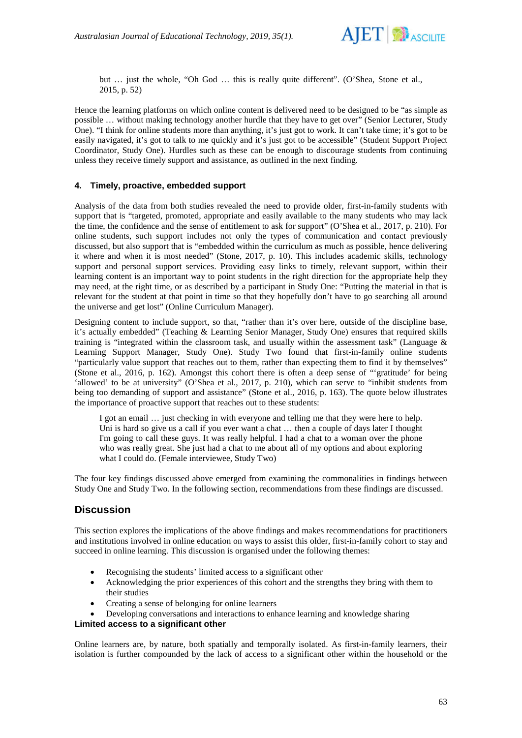

but … just the whole, "Oh God … this is really quite different". (O'Shea, Stone et al., 2015, p. 52)

Hence the learning platforms on which online content is delivered need to be designed to be "as simple as possible … without making technology another hurdle that they have to get over" (Senior Lecturer, Study One). "I think for online students more than anything, it's just got to work. It can't take time; it's got to be easily navigated, it's got to talk to me quickly and it's just got to be accessible" (Student Support Project Coordinator, Study One). Hurdles such as these can be enough to discourage students from continuing unless they receive timely support and assistance, as outlined in the next finding.

#### **4. Timely, proactive, embedded support**

Analysis of the data from both studies revealed the need to provide older, first-in-family students with support that is "targeted, promoted, appropriate and easily available to the many students who may lack the time, the confidence and the sense of entitlement to ask for support" (O'Shea et al., 2017, p. 210). For online students, such support includes not only the types of communication and contact previously discussed, but also support that is "embedded within the curriculum as much as possible, hence delivering it where and when it is most needed" (Stone, 2017, p. 10). This includes academic skills, technology support and personal support services. Providing easy links to timely, relevant support, within their learning content is an important way to point students in the right direction for the appropriate help they may need, at the right time, or as described by a participant in Study One: "Putting the material in that is relevant for the student at that point in time so that they hopefully don't have to go searching all around the universe and get lost" (Online Curriculum Manager).

Designing content to include support, so that, "rather than it's over here, outside of the discipline base, it's actually embedded" (Teaching & Learning Senior Manager, Study One) ensures that required skills training is "integrated within the classroom task, and usually within the assessment task" (Language & Learning Support Manager, Study One). Study Two found that first-in-family online students "particularly value support that reaches out to them, rather than expecting them to find it by themselves" (Stone et al., 2016, p. 162). Amongst this cohort there is often a deep sense of "'gratitude' for being 'allowed' to be at university" (O'Shea et al., 2017, p. 210), which can serve to "inhibit students from being too demanding of support and assistance" (Stone et al., 2016, p. 163). The quote below illustrates the importance of proactive support that reaches out to these students:

I got an email … just checking in with everyone and telling me that they were here to help. Uni is hard so give us a call if you ever want a chat ... then a couple of days later I thought I'm going to call these guys. It was really helpful. I had a chat to a woman over the phone who was really great. She just had a chat to me about all of my options and about exploring what I could do. (Female interviewee, Study Two)

The four key findings discussed above emerged from examining the commonalities in findings between Study One and Study Two. In the following section, recommendations from these findings are discussed.

## **Discussion**

This section explores the implications of the above findings and makes recommendations for practitioners and institutions involved in online education on ways to assist this older, first-in-family cohort to stay and succeed in online learning. This discussion is organised under the following themes:

- Recognising the students' limited access to a significant other
- Acknowledging the prior experiences of this cohort and the strengths they bring with them to their studies
- Creating a sense of belonging for online learners

• Developing conversations and interactions to enhance learning and knowledge sharing

### **Limited access to a significant other**

Online learners are, by nature, both spatially and temporally isolated. As first-in-family learners, their isolation is further compounded by the lack of access to a significant other within the household or the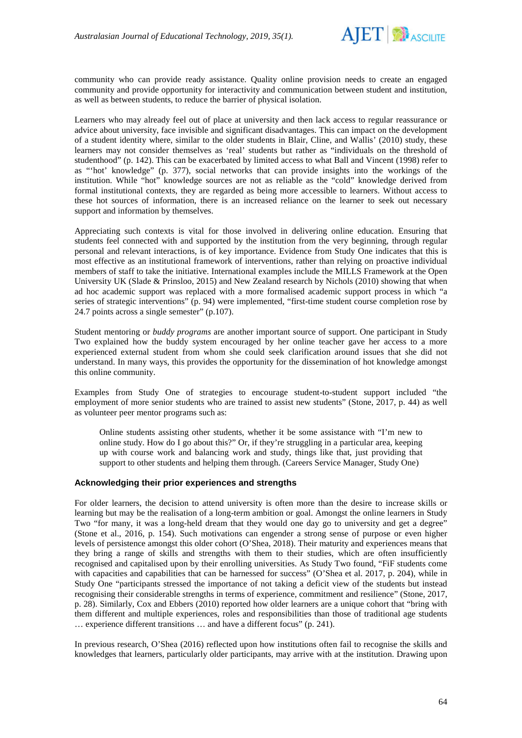

community who can provide ready assistance. Quality online provision needs to create an engaged community and provide opportunity for interactivity and communication between student and institution, as well as between students, to reduce the barrier of physical isolation.

Learners who may already feel out of place at university and then lack access to regular reassurance or advice about university, face invisible and significant disadvantages. This can impact on the development of a student identity where, similar to the older students in Blair, Cline, and Wallis' (2010) study, these learners may not consider themselves as 'real' students but rather as "individuals on the threshold of studenthood" (p. 142). This can be exacerbated by limited access to what Ball and Vincent (1998) refer to as "'hot' knowledge" (p. 377), social networks that can provide insights into the workings of the institution. While "hot" knowledge sources are not as reliable as the "cold" knowledge derived from formal institutional contexts, they are regarded as being more accessible to learners. Without access to these hot sources of information, there is an increased reliance on the learner to seek out necessary support and information by themselves.

Appreciating such contexts is vital for those involved in delivering online education. Ensuring that students feel connected with and supported by the institution from the very beginning, through regular personal and relevant interactions, is of key importance. Evidence from Study One indicates that this is most effective as an institutional framework of interventions, rather than relying on proactive individual members of staff to take the initiative. International examples include the MILLS Framework at the Open University UK (Slade & Prinsloo, 2015) and New Zealand research by Nichols (2010) showing that when ad hoc academic support was replaced with a more formalised academic support process in which "a series of strategic interventions" (p. 94) were implemented, "first-time student course completion rose by 24.7 points across a single semester" (p.107).

Student mentoring or *buddy programs* are another important source of support. One participant in Study Two explained how the buddy system encouraged by her online teacher gave her access to a more experienced external student from whom she could seek clarification around issues that she did not understand. In many ways, this provides the opportunity for the dissemination of hot knowledge amongst this online community.

Examples from Study One of strategies to encourage student-to-student support included "the employment of more senior students who are trained to assist new students" (Stone, 2017, p. 44) as well as volunteer peer mentor programs such as:

Online students assisting other students, whether it be some assistance with "I'm new to online study. How do I go about this?" Or, if they're struggling in a particular area, keeping up with course work and balancing work and study, things like that, just providing that support to other students and helping them through. (Careers Service Manager, Study One)

#### **Acknowledging their prior experiences and strengths**

For older learners, the decision to attend university is often more than the desire to increase skills or learning but may be the realisation of a long-term ambition or goal. Amongst the online learners in Study Two "for many, it was a long-held dream that they would one day go to university and get a degree" (Stone et al., 2016, p. 154). Such motivations can engender a strong sense of purpose or even higher levels of persistence amongst this older cohort (O'Shea, 2018). Their maturity and experiences means that they bring a range of skills and strengths with them to their studies, which are often insufficiently recognised and capitalised upon by their enrolling universities. As Study Two found, "FiF students come with capacities and capabilities that can be harnessed for success" (O'Shea et al. 2017, p. 204), while in Study One "participants stressed the importance of not taking a deficit view of the students but instead recognising their considerable strengths in terms of experience, commitment and resilience" (Stone, 2017, p. 28). Similarly, Cox and Ebbers (2010) reported how older learners are a unique cohort that "bring with them different and multiple experiences, roles and responsibilities than those of traditional age students … experience different transitions … and have a different focus" (p. 241).

In previous research, O'Shea (2016) reflected upon how institutions often fail to recognise the skills and knowledges that learners, particularly older participants, may arrive with at the institution. Drawing upon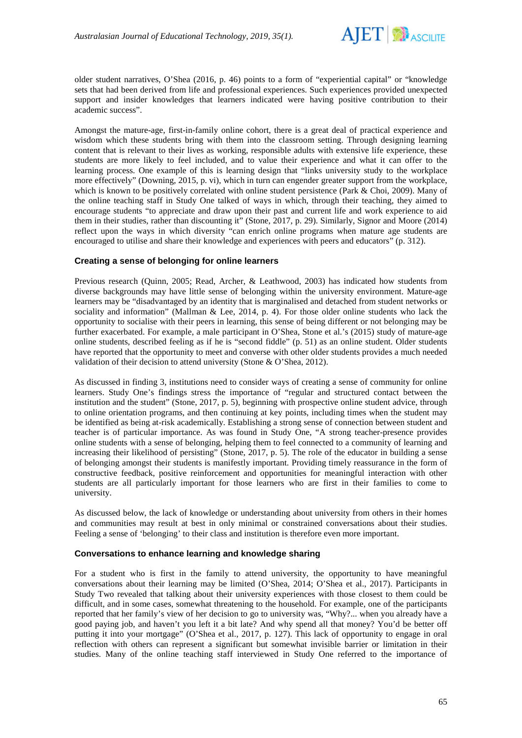

older student narratives, O'Shea (2016, p. 46) points to a form of "experiential capital" or "knowledge sets that had been derived from life and professional experiences. Such experiences provided unexpected support and insider knowledges that learners indicated were having positive contribution to their academic success".

Amongst the mature-age, first-in-family online cohort, there is a great deal of practical experience and wisdom which these students bring with them into the classroom setting. Through designing learning content that is relevant to their lives as working, responsible adults with extensive life experience, these students are more likely to feel included, and to value their experience and what it can offer to the learning process. One example of this is learning design that "links university study to the workplace more effectively" (Downing, 2015, p. vi), which in turn can engender greater support from the workplace, which is known to be positively correlated with online student persistence (Park & Choi, 2009). Many of the online teaching staff in Study One talked of ways in which, through their teaching, they aimed to encourage students "to appreciate and draw upon their past and current life and work experience to aid them in their studies, rather than discounting it" (Stone, 2017, p. 29). Similarly, Signor and Moore (2014) reflect upon the ways in which diversity "can enrich online programs when mature age students are encouraged to utilise and share their knowledge and experiences with peers and educators" (p. 312).

#### **Creating a sense of belonging for online learners**

Previous research (Quinn, 2005; Read, Archer, & Leathwood, 2003) has indicated how students from diverse backgrounds may have little sense of belonging within the university environment. Mature-age learners may be "disadvantaged by an identity that is marginalised and detached from student networks or sociality and information" (Mallman & Lee, 2014, p. 4). For those older online students who lack the opportunity to socialise with their peers in learning, this sense of being different or not belonging may be further exacerbated. For example, a male participant in O'Shea, Stone et al.'s (2015) study of mature-age online students, described feeling as if he is "second fiddle" (p. 51) as an online student. Older students have reported that the opportunity to meet and converse with other older students provides a much needed validation of their decision to attend university (Stone & O'Shea, 2012).

As discussed in finding 3, institutions need to consider ways of creating a sense of community for online learners. Study One's findings stress the importance of "regular and structured contact between the institution and the student" (Stone, 2017, p. 5), beginning with prospective online student advice, through to online orientation programs, and then continuing at key points, including times when the student may be identified as being at-risk academically. Establishing a strong sense of connection between student and teacher is of particular importance. As was found in Study One, "A strong teacher-presence provides online students with a sense of belonging, helping them to feel connected to a community of learning and increasing their likelihood of persisting" (Stone, 2017, p. 5). The role of the educator in building a sense of belonging amongst their students is manifestly important. Providing timely reassurance in the form of constructive feedback, positive reinforcement and opportunities for meaningful interaction with other students are all particularly important for those learners who are first in their families to come to university.

As discussed below, the lack of knowledge or understanding about university from others in their homes and communities may result at best in only minimal or constrained conversations about their studies. Feeling a sense of 'belonging' to their class and institution is therefore even more important.

#### **Conversations to enhance learning and knowledge sharing**

For a student who is first in the family to attend university, the opportunity to have meaningful conversations about their learning may be limited (O'Shea, 2014; O'Shea et al., 2017). Participants in Study Two revealed that talking about their university experiences with those closest to them could be difficult, and in some cases, somewhat threatening to the household. For example, one of the participants reported that her family's view of her decision to go to university was, "Why?... when you already have a good paying job, and haven't you left it a bit late? And why spend all that money? You'd be better off putting it into your mortgage" (O'Shea et al., 2017, p. 127). This lack of opportunity to engage in oral reflection with others can represent a significant but somewhat invisible barrier or limitation in their studies. Many of the online teaching staff interviewed in Study One referred to the importance of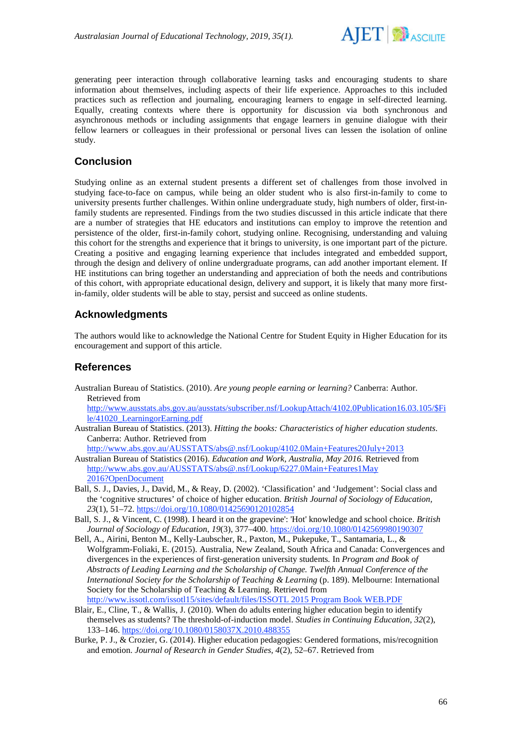

generating peer interaction through collaborative learning tasks and encouraging students to share information about themselves, including aspects of their life experience. Approaches to this included practices such as reflection and journaling, encouraging learners to engage in self-directed learning. Equally, creating contexts where there is opportunity for discussion via both synchronous and asynchronous methods or including assignments that engage learners in genuine dialogue with their fellow learners or colleagues in their professional or personal lives can lessen the isolation of online study.

# **Conclusion**

Studying online as an external student presents a different set of challenges from those involved in studying face-to-face on campus, while being an older student who is also first-in-family to come to university presents further challenges. Within online undergraduate study, high numbers of older, first-infamily students are represented. Findings from the two studies discussed in this article indicate that there are a number of strategies that HE educators and institutions can employ to improve the retention and persistence of the older, first-in-family cohort, studying online. Recognising, understanding and valuing this cohort for the strengths and experience that it brings to university, is one important part of the picture. Creating a positive and engaging learning experience that includes integrated and embedded support, through the design and delivery of online undergraduate programs, can add another important element. If HE institutions can bring together an understanding and appreciation of both the needs and contributions of this cohort, with appropriate educational design, delivery and support, it is likely that many more firstin-family, older students will be able to stay, persist and succeed as online students.

# **Acknowledgments**

The authors would like to acknowledge the National Centre for Student Equity in Higher Education for its encouragement and support of this article.

# **References**

Australian Bureau of Statistics. (2010). *Are young people earning or learning?* Canberra: Author. Retrieved from

[http://www.ausstats.abs.gov.au/ausstats/subscriber.nsf/LookupAttach/4102.0Publication16.03.105/\\$Fi](http://www.ausstats.abs.gov.au/ausstats/subscriber.nsf/LookupAttach/4102.0Publication16.03.105/$File/41020_LearningorEarning.pdf) [le/41020\\_LearningorEarning.pdf](http://www.ausstats.abs.gov.au/ausstats/subscriber.nsf/LookupAttach/4102.0Publication16.03.105/$File/41020_LearningorEarning.pdf)

Australian Bureau of Statistics. (2013). *Hitting the books: Characteristics of higher education students*. Canberra: Author. Retrieved from

<http://www.abs.gov.au/AUSSTATS/abs@.nsf/Lookup/4102.0Main+Features20July+2013> Australian Bureau of Statistics (2016). *Education and Work, Australia, May 2016.* Retrieved from [http://www.abs.gov.au/AUSSTATS/abs@.nsf/Lookup/6227.0Main+Features1May](http://www.abs.gov.au/AUSSTATS/abs@.nsf/Lookup/6227.0Main+Features1May%202016?OpenDocument)  [2016?OpenDocument](http://www.abs.gov.au/AUSSTATS/abs@.nsf/Lookup/6227.0Main+Features1May%202016?OpenDocument)

- Ball, S. J., Davies, J., David, M., & Reay, D. (2002). 'Classification' and 'Judgement': Social class and the 'cognitive structures' of choice of higher education. *British Journal of Sociology of Education, 23*(1), 51–72.<https://doi.org/10.1080/01425690120102854>
- Ball, S. J., & Vincent, C. (1998). I heard it on the grapevine': 'Hot' knowledge and school choice. *British Journal of Sociology of Education*, *19*(3), 377–400. <https://doi.org/10.1080/0142569980190307>
- Bell, A., Airini, Benton M., Kelly-Laubscher, R., Paxton, M., Pukepuke, T., Santamaria, L., & Wolfgramm-Foliaki, E. (2015). Australia, New Zealand, South Africa and Canada: Convergences and divergences in the experiences of first-generation university students*.* In *Program and Book of Abstracts of Leading Learning and the Scholarship of Change. Twelfth Annual Conference of the International Society for the Scholarship of Teaching & Learning* (p. 189). Melbourne: International Society for the Scholarship of Teaching & Learning. Retrieved from [http://www.issotl.com/issotl15/sites/default/files/ISSOTL 2015 Program Book WEB.PDF](http://www.issotl.com/issotl15/sites/default/files/ISSOTL%202015%20Program%20Book%20WEB.PDF)
- Blair, E., Cline, T., & Wallis, J. (2010). When do adults entering higher education begin to identify themselves as students? The threshold-of-induction model. *Studies in Continuing Education, 32*(2), 133–146. <https://doi.org/10.1080/0158037X.2010.488355>
- Burke, P. J., & Crozier, G. (2014). Higher education pedagogies: Gendered formations, mis/recognition and emotion. *Journal of Research in Gender Studies, 4*(2), 52–67. Retrieved from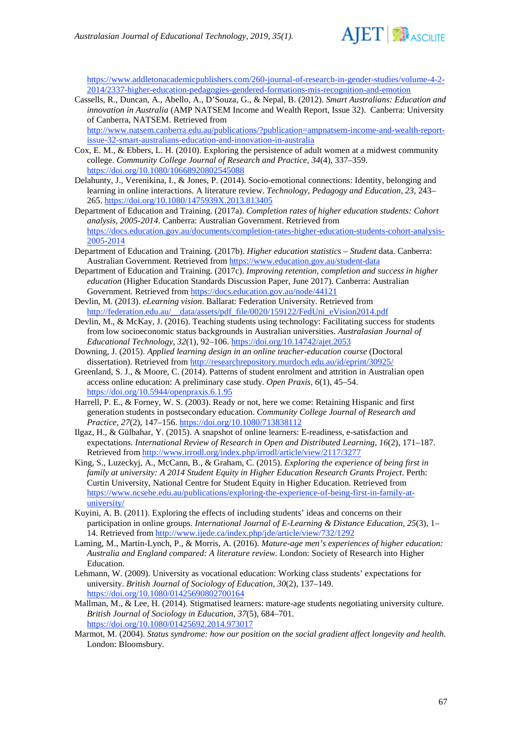

[https://www.addletonacademicpublishers.com/260-journal-of-research-in-gender-studies/volume-4-2-](https://www.addletonacademicpublishers.com/260-journal-of-research-in-gender-studies/volume-4-2-2014/2337-higher-education-pedagogies-gendered-formations-mis-recognition-and-emotion) [2014/2337-higher-education-pedagogies-gendered-formations-mis-recognition-and-emotion](https://www.addletonacademicpublishers.com/260-journal-of-research-in-gender-studies/volume-4-2-2014/2337-higher-education-pedagogies-gendered-formations-mis-recognition-and-emotion)

Cassells, R., Duncan, A., Abello, A., D'Souza, G., & Nepal, B. (2012). *Smart Australians: Education and innovation in Australia* (AMP NATSEM Income and Wealth Report, Issue 32). Canberra: University of Canberra, NATSEM. Retrieved from

[http://www.natsem.canberra.edu.au/publications/?publication=ampnatsem-income-and-wealth-report](http://www.natsem.canberra.edu.au/publications/?publication=ampnatsem-income-and-wealth-report-issue-32-smart-australians-education-and-innovation-in-australia)[issue-32-smart-australians-education-and-innovation-in-australia](http://www.natsem.canberra.edu.au/publications/?publication=ampnatsem-income-and-wealth-report-issue-32-smart-australians-education-and-innovation-in-australia)

- Cox, E. M., & Ebbers, L. H. (2010). Exploring the persistence of adult women at a midwest community college. *Community College Journal of Research and Practice, 34*(4), 337–359. <https://doi.org/10.1080/10668920802545088>
- Delahunty, J., Verenikina, I., & Jones, P. (2014). Socio-emotional connections: Identity, belonging and learning in online interactions. A literature review. *Technology, Pedagogy and Education, 23*, 243– 265. <https://doi.org/10.1080/1475939X.2013.813405>
- Department of Education and Training. (2017a). *Completion rates of higher education students: Cohort analysis, 2005-2014*. Canberra: Australian Government. Retrieved from [https://docs.education.gov.au/documents/completion-rates-higher-education-students-cohort-analysis-](https://docs.education.gov.au/documents/completion-rates-higher-education-students-cohort-analysis-2005-2014)[2005-2014](https://docs.education.gov.au/documents/completion-rates-higher-education-students-cohort-analysis-2005-2014)
- Department of Education and Training. (2017b). *Higher education statistics – Student* data. Canberra: Australian Government. Retrieved fro[m https://www.education.gov.au/student-data](https://www.education.gov.au/student-data)
- Department of Education and Training. (2017c). *Improving retention, completion and success in higher education* (Higher Education Standards Discussion Paper, June 2017). Canberra: Australian Government. Retrieved fro[m https://docs.education.gov.au/node/44121](https://docs.education.gov.au/node/44121)
- Devlin, M. (2013). *eLearning vision*. Ballarat: Federation University. Retrieved from [http://federation.edu.au/\\_\\_data/assets/pdf\\_file/0020/159122/FedUni\\_eVision2014.pdf](http://federation.edu.au/__data/assets/pdf_file/0020/159122/FedUni_eVision2014.pdf)
- Devlin, M., & McKay, J. (2016). Teaching students using technology: Facilitating success for students from low socioeconomic status backgrounds in Australian universities. *Australasian Journal of Educational Technology, 32*(1), 92–106. <https://doi.org/10.14742/ajet.2053>
- Downing, J. (2015). *Applied learning design in an online teacher-education course* (Doctoral dissertation). Retrieved from<http://researchrepository.murdoch.edu.au/id/eprint/30925/>
- Greenland, S. J., & Moore, C. (2014). Patterns of student enrolment and attrition in Australian open access online education: A preliminary case study. *Open Praxis, 6*(1), 45–54. <https://doi.org/10.5944/openpraxis.6.1.95>
- Harrell, P. E., & Forney, W. S. (2003). Ready or not, here we come: Retaining Hispanic and first generation students in postsecondary education. *Community College Journal of Research and Practice, 27*(2), 147–156. <https://doi.org/10.1080/713838112>
- Ilgaz, H., & Gülbahar, Y. (2015). A snapshot of online learners: E-readiness, e-satisfaction and expectations. *International Review of Research in Open and Distributed Learning, 16*(2), 171–187. Retrieved fro[m http://www.irrodl.org/index.php/irrodl/article/view/2117/3277](http://www.irrodl.org/index.php/irrodl/article/view/2117/3277)
- King, S., Luzeckyj, A., McCann, B., & Graham, C. (2015). *Exploring the experience of being first in family at university: A 2014 Student Equity in Higher Education Research Grants Project*. Perth: Curtin University, National Centre for Student Equity in Higher Education. Retrieved from [https://www.ncsehe.edu.au/publications/exploring-the-experience-of-being-first-in-family-at](https://www.ncsehe.edu.au/publications/exploring-the-experience-of-being-first-in-family-at-university/)[university/](https://www.ncsehe.edu.au/publications/exploring-the-experience-of-being-first-in-family-at-university/)
- Kuyini, A. B. (2011). Exploring the effects of including students' ideas and concerns on their participation in online groups. *International Journal of E-Learning & Distance Education, 25*(3), 1– 14. Retrieved fro[m http://www.ijede.ca/index.php/jde/article/view/732/1292](http://www.ijede.ca/index.php/jde/article/view/732/1292)
- Laming, M., Martin-Lynch, P., & Morris, A. (2016). *Mature-age men's experiences of higher education: Australia and England compared: A literature review*. London: Society of Research into Higher Education.
- Lehmann, W. (2009). University as vocational education: Working class students' expectations for university. *British Journal of Sociology of Education*, *30*(2), 137–149. <https://doi.org/10.1080/01425690802700164>
- Mallman, M., & Lee, H. (2014). Stigmatised learners: mature-age students negotiating university culture. *British Journal of Sociology in Education*, *37*(5), 684–701. [https://doi.org/10.1080/01425692.2014.973017](http://dx.doi.org/10.1080/01425692.2014.973017)
- Marmot, M. (2004). *Status syndrome: how our position on the social gradient affect longevity and health*. London: Bloomsbury.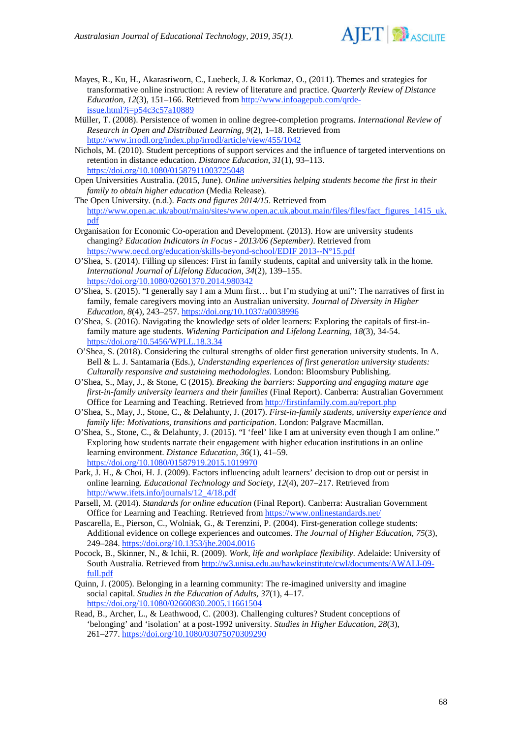

- Mayes, R., Ku, H., Akarasriworn, C., Luebeck, J. & Korkmaz, O., (2011). Themes and strategies for transformative online instruction: A review of literature and practice. *Quarterly Review of Distance Education, 12*(3), 151–166. Retrieved from [http://www.infoagepub.com/qrde](http://www.infoagepub.com/qrde-issue.html?i=p54c3c57a10889)[issue.html?i=p54c3c57a10889](http://www.infoagepub.com/qrde-issue.html?i=p54c3c57a10889)
- Müller, T. (2008). Persistence of women in online degree-completion programs. *International Review of Research in Open and Distributed Learning, 9*(2), 1–18. Retrieved from <http://www.irrodl.org/index.php/irrodl/article/view/455/1042>
- Nichols, M. (2010). Student perceptions of support services and the influence of targeted interventions on retention in distance education. *Distance Education, 31*(1), 93–113. <https://doi.org/10.1080/01587911003725048>
- Open Universities Australia. (2015, June). *Online universities helping students become the first in their family to obtain higher education* (Media Release)*.*
- The Open University. (n.d.). *Facts and figures 2014/15*. Retrieved from [http://www.open.ac.uk/about/main/sites/www.open.ac.uk.about.main/files/files/fact\\_figures\\_1415\\_uk.](http://www.open.ac.uk/about/main/sites/www.open.ac.uk.about.main/files/files/fact_figures_1415_uk.pdf) [pdf](http://www.open.ac.uk/about/main/sites/www.open.ac.uk.about.main/files/files/fact_figures_1415_uk.pdf)
- Organisation for Economic Co-operation and Development. (2013). How are university students changing? *Education Indicators in Focus - 2013/06 (September)*. Retrieved from [https://www.oecd.org/education/skills-beyond-school/EDIF 2013--N°15.pdf](https://www.oecd.org/education/skills-beyond-school/EDIF%202013--N%C2%B015.pdf)
- O'Shea, S. (2014). Filling up silences: First in family students, capital and university talk in the home*. International Journal of Lifelong Education, 34*(2), 139–155. <https://doi.org/10.1080/02601370.2014.980342>
- O'Shea, S. (2015). "I generally say I am a Mum first… but I'm studying at uni": The narratives of first in family, female caregivers moving into an Australian university*. Journal of Diversity in Higher Education, 8*(4), 243–257. [https://doi.org/10.1037/a0038996](http://dx.doi.org/10.1037/a0038996)
- O'Shea, S. (2016). Navigating the knowledge sets of older learners: Exploring the capitals of first-infamily mature age students. *Widening Participation and Lifelong Learning, 18*(3), 34-54. <https://doi.org/10.5456/WPLL.18.3.34>
- O'Shea, S. (2018). Considering the cultural strengths of older first generation university students. In A. Bell & L. J. Santamaria (Eds.), *Understanding experiences of first generation university students: Culturally responsive and sustaining methodologies*. London: Bloomsbury Publishing.
- O'Shea, S., May, J., & Stone, C (2015). *Breaking the barriers: Supporting and engaging mature age first-in-family university learners and their families* (Final Report). Canberra: Australian Government Office for Learning and Teaching. Retrieved fro[m http://firstinfamily.com.au/report.php](http://firstinfamily.com.au/report.php)
- O'Shea, S., May, J., Stone, C., & Delahunty, J. (2017). *First-in-family students, university experience and family life: Motivations, transitions and participation*. London: Palgrave Macmillan.
- O'Shea, S., Stone, C., & Delahunty, J. (2015). "I 'feel' like I am at university even though I am online." Exploring how students narrate their engagement with higher education institutions in an online learning environment. *Distance Education*, *36*(1), 41–59. <https://doi.org/10.1080/01587919.2015.1019970>
- Park, J. H., & Choi, H. J. (2009). Factors influencing adult learners' decision to drop out or persist in online learning. *Educational Technology and Society, 12*(4), 207–217. Retrieved from [http://www.ifets.info/journals/12\\_4/18.pdf](http://www.ifets.info/journals/12_4/18.pdf)
- Parsell, M. (2014). *Standards for online education* (Final Report). Canberra: Australian Government Office for Learning and Teaching. Retrieved fro[m https://www.onlinestandards.net/](https://www.onlinestandards.net/)
- Pascarella, E., Pierson, C., Wolniak, G., & Terenzini, P. (2004). First-generation college students: Additional evidence on college experiences and outcomes. *The Journal of Higher Education, 75*(3), 249–284. <https://doi.org/10.1353/jhe.2004.0016>
- Pocock, B., Skinner, N., & Ichii, R. (2009). *Work, life and workplace flexibility*. Adelaide: University of South Australia. Retrieved from [http://w3.unisa.edu.au/hawkeinstitute/cwl/documents/AWALI-09](http://w3.unisa.edu.au/hawkeinstitute/cwl/documents/AWALI-09-full.pdf) [full.pdf](http://w3.unisa.edu.au/hawkeinstitute/cwl/documents/AWALI-09-full.pdf)
- Quinn, J. (2005). Belonging in a learning community: The re-imagined university and imagine social capital. *Studies in the Education of Adults, 37*(1), 4–17. <https://doi.org/10.1080/02660830.2005.11661504>
- Read, B., Archer, L., & Leathwood, C. (2003). Challenging cultures? Student conceptions of 'belonging' and 'isolation' at a post-1992 university. *Studies in Higher Education, 28*(3), 261–277. [https://doi.org/10.1080/03075070309290](http://dx.doi.org/10.1080/03075070309290)